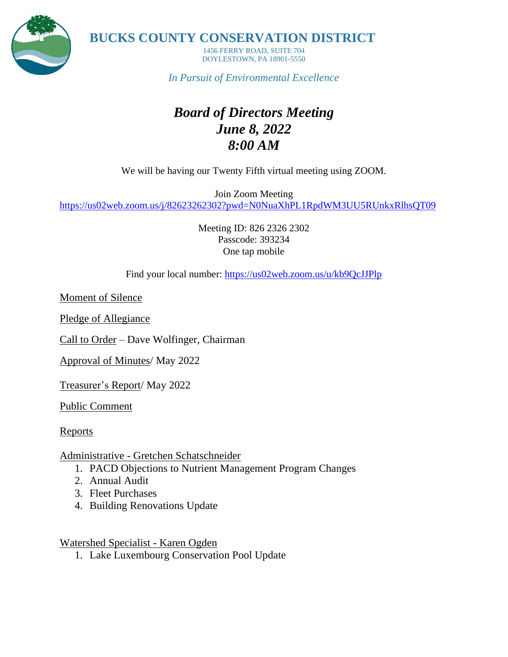

**BUCKS COUNTY CONSERVATION DISTRICT**

1456 FERRY ROAD, SUITE 704 DOYLESTOWN, PA 18901-5550

*In Pursuit of Environmental Excellence*

# *Board of Directors Meeting June 8, 2022 8:00 AM*

We will be having our Twenty Fifth virtual meeting using ZOOM.

Join Zoom Meeting <https://us02web.zoom.us/j/82623262302?pwd=N0NuaXhPL1RpdWM3UU5RUnkxRlhsQT09>

> Meeting ID: 826 2326 2302 Passcode: 393234 One tap mobile

Find your local number: <https://us02web.zoom.us/u/kb9QcJJPlp>

Moment of Silence

Pledge of Allegiance

Call to Order – Dave Wolfinger, Chairman

Approval of Minutes/ May 2022

Treasurer's Report/ May 2022

Public Comment

Reports

Administrative - Gretchen Schatschneider

- 1. PACD Objections to Nutrient Management Program Changes
- 2. Annual Audit
- 3. Fleet Purchases
- 4. Building Renovations Update

Watershed Specialist - Karen Ogden

1. Lake Luxembourg Conservation Pool Update